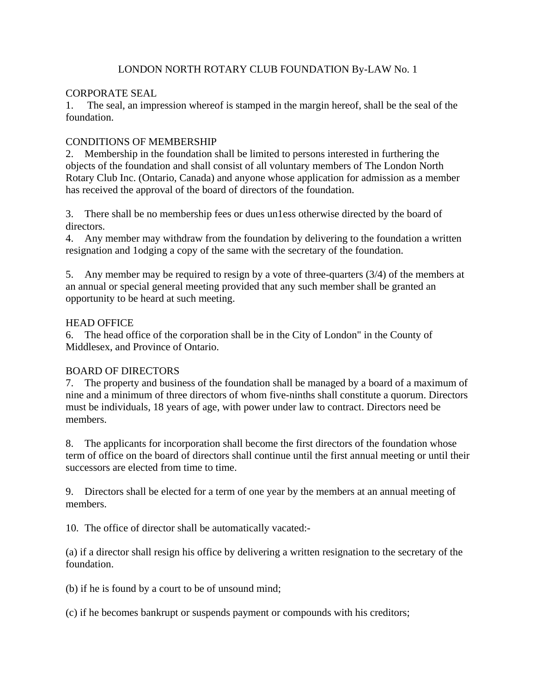## LONDON NORTH ROTARY CLUB FOUNDATION By-LAW No. 1

## CORPORATE SEAL

1. The seal, an impression whereof is stamped in the margin hereof, shall be the seal of the foundation.

# CONDITIONS OF MEMBERSHIP

2. Membership in the foundation shall be limited to persons interested in furthering the objects of the foundation and shall consist of all voluntary members of The London North Rotary Club Inc. (Ontario, Canada) and anyone whose application for admission as a member has received the approval of the board of directors of the foundation.

3. There shall be no membership fees or dues un1ess otherwise directed by the board of directors.

4. Any member may withdraw from the foundation by delivering to the foundation a written resignation and 1odging a copy of the same with the secretary of the foundation.

5. Any member may be required to resign by a vote of three-quarters (3/4) of the members at an annual or special general meeting provided that any such member shall be granted an opportunity to be heard at such meeting.

# HEAD OFFICE

6. The head office of the corporation shall be in the City of London" in the County of Middlesex, and Province of Ontario.

# BOARD OF DIRECTORS

7. The property and business of the foundation shall be managed by a board of a maximum of nine and a minimum of three directors of whom five-ninths shall constitute a quorum. Directors must be individuals, 18 years of age, with power under law to contract. Directors need be members.

8. The applicants for incorporation shall become the first directors of the foundation whose term of office on the board of directors shall continue until the first annual meeting or until their successors are elected from time to time.

9. Directors shall be elected for a term of one year by the members at an annual meeting of members.

10. The office of director shall be automatically vacated:-

(a) if a director shall resign his office by delivering a written resignation to the secretary of the foundation.

(b) if he is found by a court to be of unsound mind;

(c) if he becomes bankrupt or suspends payment or compounds with his creditors;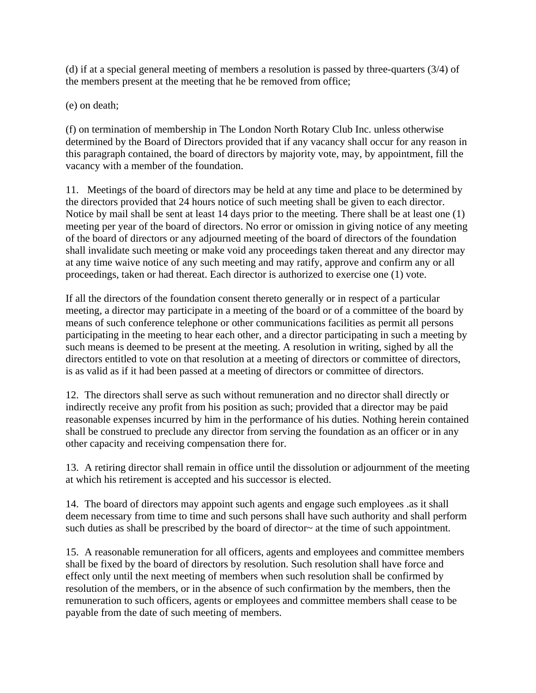(d) if at a special general meeting of members a resolution is passed by three-quarters (3/4) of the members present at the meeting that he be removed from office;

(e) on death;

(f) on termination of membership in The London North Rotary Club Inc. unless otherwise determined by the Board of Directors provided that if any vacancy shall occur for any reason in this paragraph contained, the board of directors by majority vote, may, by appointment, fill the vacancy with a member of the foundation.

11. Meetings of the board of directors may be held at any time and place to be determined by the directors provided that 24 hours notice of such meeting shall be given to each director. Notice by mail shall be sent at least 14 days prior to the meeting. There shall be at least one (1) meeting per year of the board of directors. No error or omission in giving notice of any meeting of the board of directors or any adjourned meeting of the board of directors of the foundation shall invalidate such meeting or make void any proceedings taken thereat and any director may at any time waive notice of any such meeting and may ratify, approve and confirm any or all proceedings, taken or had thereat. Each director is authorized to exercise one (1) vote.

If all the directors of the foundation consent thereto generally or in respect of a particular meeting, a director may participate in a meeting of the board or of a committee of the board by means of such conference telephone or other communications facilities as permit all persons participating in the meeting to hear each other, and a director participating in such a meeting by such means is deemed to be present at the meeting. A resolution in writing, sighed by all the directors entitled to vote on that resolution at a meeting of directors or committee of directors, is as valid as if it had been passed at a meeting of directors or committee of directors.

12. The directors shall serve as such without remuneration and no director shall directly or indirectly receive any profit from his position as such; provided that a director may be paid reasonable expenses incurred by him in the performance of his duties. Nothing herein contained shall be construed to preclude any director from serving the foundation as an officer or in any other capacity and receiving compensation there for.

13. A retiring director shall remain in office until the dissolution or adjournment of the meeting at which his retirement is accepted and his successor is elected.

14. The board of directors may appoint such agents and engage such employees .as it shall deem necessary from time to time and such persons shall have such authority and shall perform such duties as shall be prescribed by the board of director~ at the time of such appointment.

15. A reasonable remuneration for all officers, agents and employees and committee members shall be fixed by the board of directors by resolution. Such resolution shall have force and effect only until the next meeting of members when such resolution shall be confirmed by resolution of the members, or in the absence of such confirmation by the members, then the remuneration to such officers, agents or employees and committee members shall cease to be payable from the date of such meeting of members.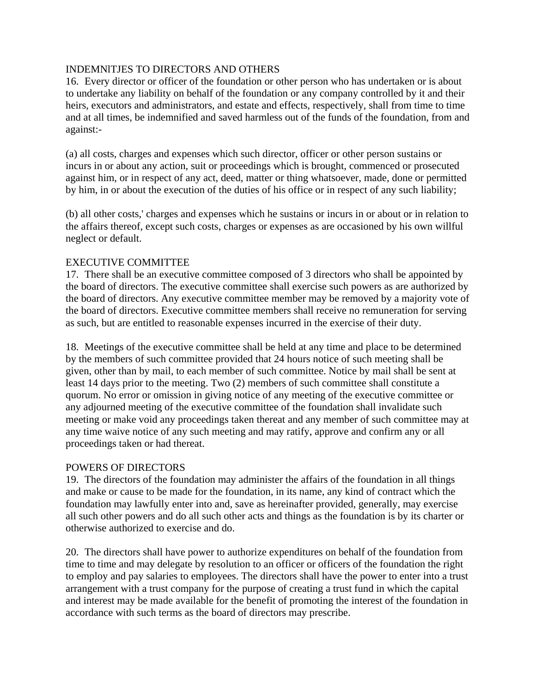## INDEMNlTJES TO DIRECTORS AND OTHERS

16. Every director or officer of the foundation or other person who has undertaken or is about to undertake any liability on behalf of the foundation or any company controlled by it and their heirs, executors and administrators, and estate and effects, respectively, shall from time to time and at all times, be indemnified and saved harmless out of the funds of the foundation, from and against:-

(a) all costs, charges and expenses which such director, officer or other person sustains or incurs in or about any action, suit or proceedings which is brought, commenced or prosecuted against him, or in respect of any act, deed, matter or thing whatsoever, made, done or permitted by him, in or about the execution of the duties of his office or in respect of any such liability;

(b) all other costs,' charges and expenses which he sustains or incurs in or about or in relation to the affairs thereof, except such costs, charges or expenses as are occasioned by his own willful neglect or default.

## EXECUTIVE COMMITTEE

17. There shall be an executive committee composed of 3 directors who shall be appointed by the board of directors. The executive committee shall exercise such powers as are authorized by the board of directors. Any executive committee member may be removed by a majority vote of the board of directors. Executive committee members shall receive no remuneration for serving as such, but are entitled to reasonable expenses incurred in the exercise of their duty.

18. Meetings of the executive committee shall be held at any time and place to be determined by the members of such committee provided that 24 hours notice of such meeting shall be given, other than by mail, to each member of such committee. Notice by mail shall be sent at least 14 days prior to the meeting. Two (2) members of such committee shall constitute a quorum. No error or omission in giving notice of any meeting of the executive committee or any adjourned meeting of the executive committee of the foundation shall invalidate such meeting or make void any proceedings taken thereat and any member of such committee may at any time waive notice of any such meeting and may ratify, approve and confirm any or all proceedings taken or had thereat.

## POWERS OF DIRECTORS

19. The directors of the foundation may administer the affairs of the foundation in all things and make or cause to be made for the foundation, in its name, any kind of contract which the foundation may lawfully enter into and, save as hereinafter provided, generally, may exercise all such other powers and do all such other acts and things as the foundation is by its charter or otherwise authorized to exercise and do.

20. The directors shall have power to authorize expenditures on behalf of the foundation from time to time and may delegate by resolution to an officer or officers of the foundation the right to employ and pay salaries to employees. The directors shall have the power to enter into a trust arrangement with a trust company for the purpose of creating a trust fund in which the capital and interest may be made available for the benefit of promoting the interest of the foundation in accordance with such terms as the board of directors may prescribe.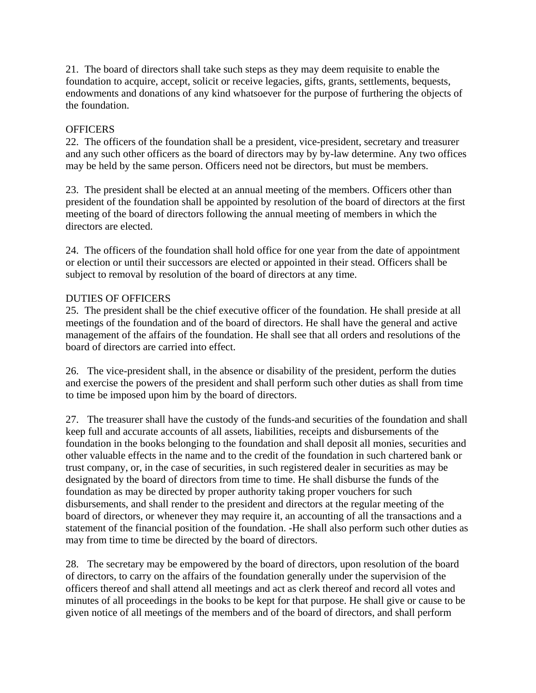21. The board of directors shall take such steps as they may deem requisite to enable the foundation to acquire, accept, solicit or receive legacies, gifts, grants, settlements, bequests, endowments and donations of any kind whatsoever for the purpose of furthering the objects of the foundation.

## **OFFICERS**

22. The officers of the foundation shall be a president, vice-president, secretary and treasurer and any such other officers as the board of directors may by by-law determine. Any two offices may be held by the same person. Officers need not be directors, but must be members.

23. The president shall be elected at an annual meeting of the members. Officers other than president of the foundation shall be appointed by resolution of the board of directors at the first meeting of the board of directors following the annual meeting of members in which the directors are elected.

24. The officers of the foundation shall hold office for one year from the date of appointment or election or until their successors are elected or appointed in their stead. Officers shall be subject to removal by resolution of the board of directors at any time.

# DUTIES OF OFFICERS

25. The president shall be the chief executive officer of the foundation. He shall preside at all meetings of the foundation and of the board of directors. He shall have the general and active management of the affairs of the foundation. He shall see that all orders and resolutions of the board of directors are carried into effect.

26. The vice-president shall, in the absence or disability of the president, perform the duties and exercise the powers of the president and shall perform such other duties as shall from time to time be imposed upon him by the board of directors.

27. The treasurer shall have the custody of the funds-and securities of the foundation and shall keep full and accurate accounts of all assets, liabilities, receipts and disbursements of the foundation in the books belonging to the foundation and shall deposit all monies, securities and other valuable effects in the name and to the credit of the foundation in such chartered bank or trust company, or, in the case of securities, in such registered dealer in securities as may be designated by the board of directors from time to time. He shall disburse the funds of the foundation as may be directed by proper authority taking proper vouchers for such disbursements, and shall render to the president and directors at the regular meeting of the board of directors, or whenever they may require it, an accounting of all the transactions and a statement of the financial position of the foundation. -He shall also perform such other duties as may from time to time be directed by the board of directors.

28. The secretary may be empowered by the board of directors, upon resolution of the board of directors, to carry on the affairs of the foundation generally under the supervision of the officers thereof and shall attend all meetings and act as clerk thereof and record all votes and minutes of all proceedings in the books to be kept for that purpose. He shall give or cause to be given notice of all meetings of the members and of the board of directors, and shall perform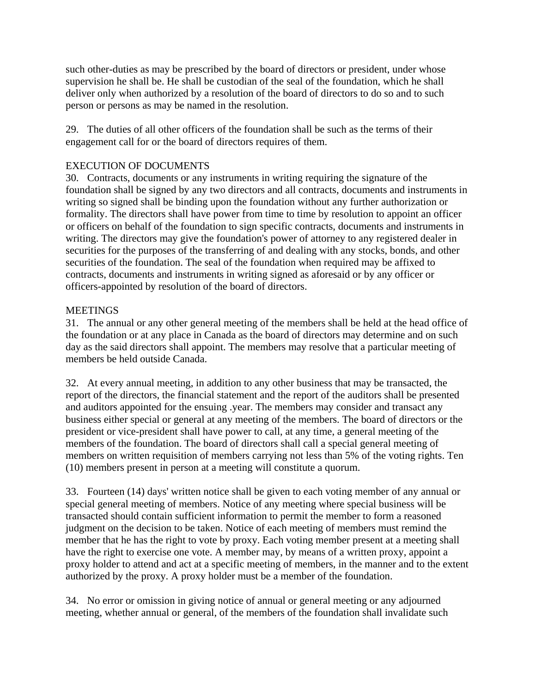such other-duties as may be prescribed by the board of directors or president, under whose supervision he shall be. He shall be custodian of the seal of the foundation, which he shall deliver only when authorized by a resolution of the board of directors to do so and to such person or persons as may be named in the resolution.

29. The duties of all other officers of the foundation shall be such as the terms of their engagement call for or the board of directors requires of them.

## EXECUTION OF DOCUMENTS

30. Contracts, documents or any instruments in writing requiring the signature of the foundation shall be signed by any two directors and all contracts, documents and instruments in writing so signed shall be binding upon the foundation without any further authorization or formality. The directors shall have power from time to time by resolution to appoint an officer or officers on behalf of the foundation to sign specific contracts, documents and instruments in writing. The directors may give the foundation's power of attorney to any registered dealer in securities for the purposes of the transferring of and dealing with any stocks, bonds, and other securities of the foundation. The seal of the foundation when required may be affixed to contracts, documents and instruments in writing signed as aforesaid or by any officer or officers-appointed by resolution of the board of directors.

## **MEETINGS**

31. The annual or any other general meeting of the members shall be held at the head office of the foundation or at any place in Canada as the board of directors may determine and on such day as the said directors shall appoint. The members may resolve that a particular meeting of members be held outside Canada.

32. At every annual meeting, in addition to any other business that may be transacted, the report of the directors, the financial statement and the report of the auditors shall be presented and auditors appointed for the ensuing .year. The members may consider and transact any business either special or general at any meeting of the members. The board of directors or the president or vice-president shall have power to call, at any time, a general meeting of the members of the foundation. The board of directors shall call a special general meeting of members on written requisition of members carrying not less than 5% of the voting rights. Ten (10) members present in person at a meeting will constitute a quorum.

33. Fourteen (14) days' written notice shall be given to each voting member of any annual or special general meeting of members. Notice of any meeting where special business will be transacted should contain sufficient information to permit the member to form a reasoned judgment on the decision to be taken. Notice of each meeting of members must remind the member that he has the right to vote by proxy. Each voting member present at a meeting shall have the right to exercise one vote. A member may, by means of a written proxy, appoint a proxy holder to attend and act at a specific meeting of members, in the manner and to the extent authorized by the proxy. A proxy holder must be a member of the foundation.

34. No error or omission in giving notice of annual or general meeting or any adjourned meeting, whether annual or general, of the members of the foundation shall invalidate such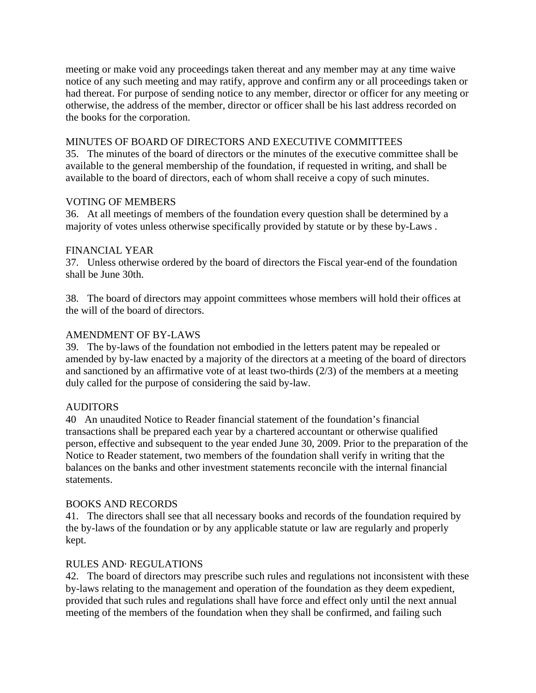meeting or make void any proceedings taken thereat and any member may at any time waive notice of any such meeting and may ratify, approve and confirm any or all proceedings taken or had thereat. For purpose of sending notice to any member, director or officer for any meeting or otherwise, the address of the member, director or officer shall be his last address recorded on the books for the corporation.

## MINUTES OF BOARD OF DIRECTORS AND EXECUTIVE COMMITTEES

35. The minutes of the board of directors or the minutes of the executive committee shall be available to the general membership of the foundation, if requested in writing, and shall be available to the board of directors, each of whom shall receive a copy of such minutes.

## VOTING OF MEMBERS

36. At all meetings of members of the foundation every question shall be determined by a majority of votes unless otherwise specifically provided by statute or by these by-Laws .

## FINANCIAL YEAR

37. Unless otherwise ordered by the board of directors the Fiscal year-end of the foundation shall be June 30th.

38. The board of directors may appoint committees whose members will hold their offices at the will of the board of directors.

## AMENDMENT OF BY-LAWS

39. The by-laws of the foundation not embodied in the letters patent may be repealed or amended by by-law enacted by a majority of the directors at a meeting of the board of directors and sanctioned by an affirmative vote of at least two-thirds (2/3) of the members at a meeting duly called for the purpose of considering the said by-law.

## **AUDITORS**

40 An unaudited Notice to Reader financial statement of the foundation's financial transactions shall be prepared each year by a chartered accountant or otherwise qualified person, effective and subsequent to the year ended June 30, 2009. Prior to the preparation of the Notice to Reader statement, two members of the foundation shall verify in writing that the balances on the banks and other investment statements reconcile with the internal financial statements.

## BOOKS AND RECORDS

41. The directors shall see that all necessary books and records of the foundation required by the by-laws of the foundation or by any applicable statute or law are regularly and properly kept.

## RULES AND· REGULATIONS

42. The board of directors may prescribe such rules and regulations not inconsistent with these by-laws relating to the management and operation of the foundation as they deem expedient, provided that such rules and regulations shall have force and effect only until the next annual meeting of the members of the foundation when they shall be confirmed, and failing such